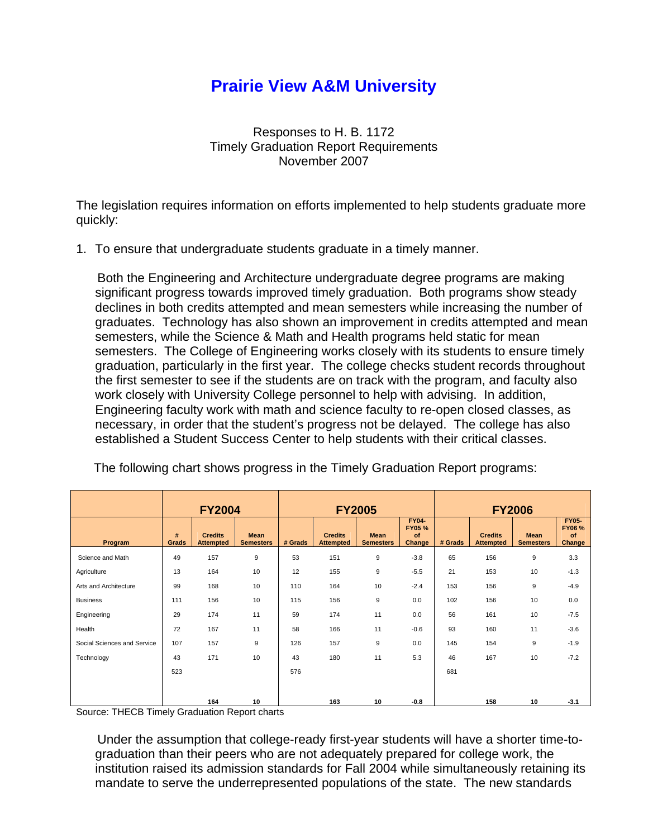## **Prairie View A&M University**

Responses to H. B. 1172 Timely Graduation Report Requirements November 2007

The legislation requires information on efforts implemented to help students graduate more quickly:

1. To ensure that undergraduate students graduate in a timely manner.

 Both the Engineering and Architecture undergraduate degree programs are making significant progress towards improved timely graduation. Both programs show steady declines in both credits attempted and mean semesters while increasing the number of graduates. Technology has also shown an improvement in credits attempted and mean semesters, while the Science & Math and Health programs held static for mean semesters. The College of Engineering works closely with its students to ensure timely graduation, particularly in the first year. The college checks student records throughout the first semester to see if the students are on track with the program, and faculty also work closely with University College personnel to help with advising. In addition, Engineering faculty work with math and science faculty to re-open closed classes, as necessary, in order that the student's progress not be delayed. The college has also established a Student Success Center to help students with their critical classes.

|                             | <b>FY2004</b> |                                    | <b>FY2005</b>                   |         |                                    |                                 | <b>FY2006</b>                          |         |                                    |                                 |                                              |
|-----------------------------|---------------|------------------------------------|---------------------------------|---------|------------------------------------|---------------------------------|----------------------------------------|---------|------------------------------------|---------------------------------|----------------------------------------------|
| Program                     | #<br>Grads    | <b>Credits</b><br><b>Attempted</b> | <b>Mean</b><br><b>Semesters</b> | # Grads | <b>Credits</b><br><b>Attempted</b> | <b>Mean</b><br><b>Semesters</b> | <b>FY04-</b><br>FY05 %<br>of<br>Change | # Grads | <b>Credits</b><br><b>Attempted</b> | <b>Mean</b><br><b>Semesters</b> | <b>FY05-</b><br><b>FY06%</b><br>of<br>Change |
| Science and Math            | 49            | 157                                | 9                               | 53      | 151                                | 9                               | $-3.8$                                 | 65      | 156                                | 9                               | 3.3                                          |
| Agriculture                 | 13            | 164                                | 10                              | 12      | 155                                | 9                               | $-5.5$                                 | 21      | 153                                | 10                              | $-1.3$                                       |
| Arts and Architecture       | 99            | 168                                | 10                              | 110     | 164                                | 10                              | $-2.4$                                 | 153     | 156                                | 9                               | $-4.9$                                       |
| <b>Business</b>             | 111           | 156                                | 10                              | 115     | 156                                | 9                               | 0.0                                    | 102     | 156                                | 10                              | 0.0                                          |
| Engineering                 | 29            | 174                                | 11                              | 59      | 174                                | 11                              | 0.0                                    | 56      | 161                                | 10                              | $-7.5$                                       |
| Health                      | 72            | 167                                | 11                              | 58      | 166                                | 11                              | $-0.6$                                 | 93      | 160                                | 11                              | $-3.6$                                       |
| Social Sciences and Service | 107           | 157                                | $\boldsymbol{9}$                | 126     | 157                                | 9                               | 0.0                                    | 145     | 154                                | $9\,$                           | $-1.9$                                       |
| Technology                  | 43            | 171                                | 10                              | 43      | 180                                | 11                              | 5.3                                    | 46      | 167                                | 10                              | $-7.2$                                       |
|                             | 523           |                                    |                                 | 576     |                                    |                                 |                                        | 681     |                                    |                                 |                                              |
|                             |               |                                    |                                 |         |                                    |                                 |                                        |         |                                    |                                 |                                              |
|                             |               | 164                                | 10                              |         | 163                                | 10                              | $-0.8$                                 |         | 158                                | 10                              | $-3.1$                                       |

The following chart shows progress in the Timely Graduation Report programs:

Source: THECB Timely Graduation Report charts

 Under the assumption that college-ready first-year students will have a shorter time-tograduation than their peers who are not adequately prepared for college work, the institution raised its admission standards for Fall 2004 while simultaneously retaining its mandate to serve the underrepresented populations of the state. The new standards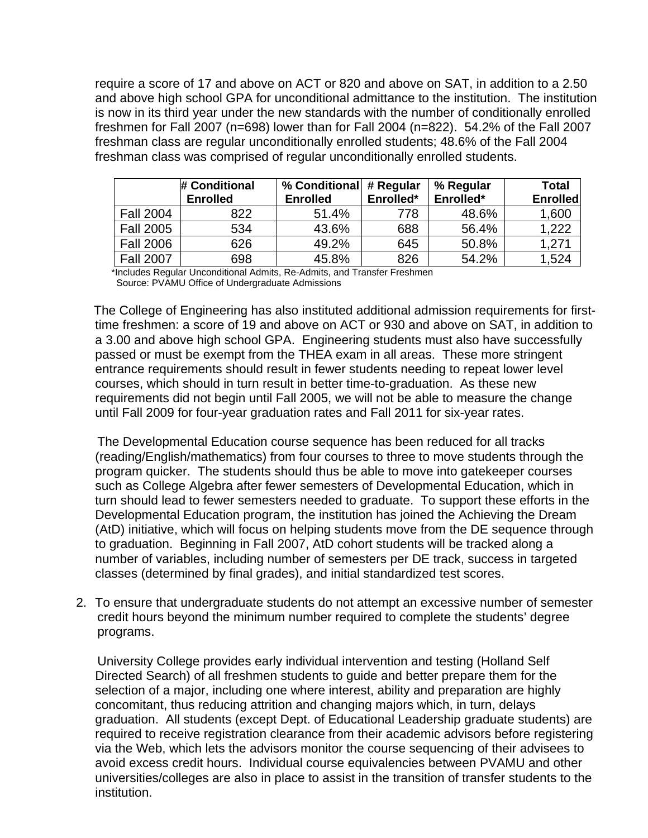require a score of 17 and above on ACT or 820 and above on SAT, in addition to a 2.50 and above high school GPA for unconditional admittance to the institution. The institution is now in its third year under the new standards with the number of conditionally enrolled freshmen for Fall 2007 (n=698) lower than for Fall 2004 (n=822). 54.2% of the Fall 2007 freshman class are regular unconditionally enrolled students; 48.6% of the Fall 2004 freshman class was comprised of regular unconditionally enrolled students.

|                  | # Conditional<br><b>Enrolled</b> | % Conditional<br><b>Enrolled</b> | # Regular<br>Enrolled* | % Regular<br>Enrolled* | <b>Total</b><br><b>Enrolled</b> |
|------------------|----------------------------------|----------------------------------|------------------------|------------------------|---------------------------------|
| <b>Fall 2004</b> | 822                              | 51.4%                            | 778                    | 48.6%                  | 1,600                           |
| <b>Fall 2005</b> | 534                              | 43.6%                            | 688                    | 56.4%                  | 1,222                           |
| <b>Fall 2006</b> | 626                              | 49.2%                            | 645                    | 50.8%                  | 1.271                           |
| <b>Fall 2007</b> | 698                              | 45.8%                            | 826                    | 54.2%                  | 1,524                           |

\*Includes Regular Unconditional Admits, Re-Admits, and Transfer Freshmen Source: PVAMU Office of Undergraduate Admissions

 The College of Engineering has also instituted additional admission requirements for firsttime freshmen: a score of 19 and above on ACT or 930 and above on SAT, in addition to a 3.00 and above high school GPA. Engineering students must also have successfully passed or must be exempt from the THEA exam in all areas. These more stringent entrance requirements should result in fewer students needing to repeat lower level courses, which should in turn result in better time-to-graduation. As these new requirements did not begin until Fall 2005, we will not be able to measure the change until Fall 2009 for four-year graduation rates and Fall 2011 for six-year rates.

 The Developmental Education course sequence has been reduced for all tracks (reading/English/mathematics) from four courses to three to move students through the program quicker. The students should thus be able to move into gatekeeper courses such as College Algebra after fewer semesters of Developmental Education, which in turn should lead to fewer semesters needed to graduate. To support these efforts in the Developmental Education program, the institution has joined the Achieving the Dream (AtD) initiative, which will focus on helping students move from the DE sequence through to graduation. Beginning in Fall 2007, AtD cohort students will be tracked along a number of variables, including number of semesters per DE track, success in targeted classes (determined by final grades), and initial standardized test scores.

2. To ensure that undergraduate students do not attempt an excessive number of semester credit hours beyond the minimum number required to complete the students' degree programs.

 University College provides early individual intervention and testing (Holland Self Directed Search) of all freshmen students to guide and better prepare them for the selection of a major, including one where interest, ability and preparation are highly concomitant, thus reducing attrition and changing majors which, in turn, delays graduation. All students (except Dept. of Educational Leadership graduate students) are required to receive registration clearance from their academic advisors before registering via the Web, which lets the advisors monitor the course sequencing of their advisees to avoid excess credit hours. Individual course equivalencies between PVAMU and other universities/colleges are also in place to assist in the transition of transfer students to the institution.